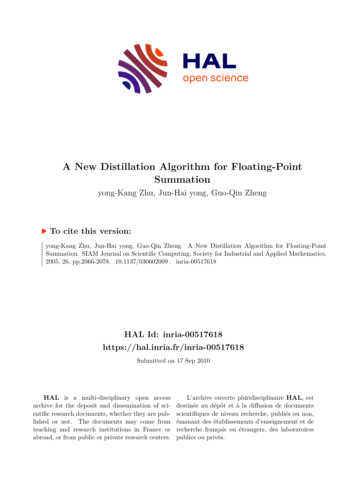

# **A New Distillation Algorithm for Floating-Point Summation**

yong-Kang Zhu, Jun-Hai yong, Guo-Qin Zheng

### **To cite this version:**

yong-Kang Zhu, Jun-Hai yong, Guo-Qin Zheng. A New Distillation Algorithm for Floating-Point Summation. SIAM Journal on Scientific Computing, Society for Industrial and Applied Mathematics, 2005, 26, pp.2066-2078. 10.1137/030602009. inria-00517618

## **HAL Id: inria-00517618 <https://hal.inria.fr/inria-00517618>**

Submitted on 17 Sep 2010

**HAL** is a multi-disciplinary open access archive for the deposit and dissemination of scientific research documents, whether they are published or not. The documents may come from teaching and research institutions in France or abroad, or from public or private research centers.

L'archive ouverte pluridisciplinaire **HAL**, est destinée au dépôt et à la diffusion de documents scientifiques de niveau recherche, publiés ou non, émanant des établissements d'enseignement et de recherche français ou étrangers, des laboratoires publics ou privés.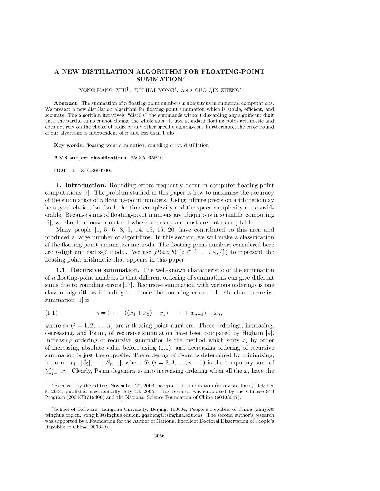### A NEW DISTILLATION ALGORITHM FOR FLOATING-POINT SUMMATION\*

#### YONG-KANG ZHU<sup>†</sup>, JUN-HAI YONG<sup>†</sup>, AND GUO-QIN ZHENG<sup>†</sup>

**Abstract.** The summation of  $n$  floating-point numbers is ubiquitous in numerical computations. We present a new distillation algorithm for floating-point summation which is stable, efficient, and accurate. The algorithm iteratively "distills" the summands without discarding any significant digit until the partial sums cannot change the whole sum. It uses standard floating-point arithmetic and does not rely on the choice of radix or any other specific assumption. Furthermore, the error bound of our algorithm is independent of  $n$  and less than 1 ulp.

Key words. floating-point summation, rounding error, distillation

AMS subject classifications. 65G05, 65B10

DOI. 10.1137/030602009

1. Introduction. Rounding errors frequently occur in computer floating-point computations [7]. The problem studied in this paper is how to maximize the accuracy of the summation of  $n$  floating-point numbers. Using infinite precision arithmetic may be a good choice, but both the time complexity and the space complexity are considerable. Because sums of floating-point numbers are ubiquitous in scientific computing [9], we should choose a method whose accuracy and cost are both acceptable.

Many people  $[1, 5, 6, 8, 9, 14, 15, 16, 20]$  have contributed to this area and produced a large number of algorithms. In this section, we will make a classification of the floating-point summation methods. The floating-point numbers considered here are t-digit and radix- $\beta$  model. We use  $fl(a \circ b)$  ( $\circ \in \{+, -, \times, / \}$ ) to represent the floating-point arithmetic that appears in this paper.

1.1. Recursive summation. The well-known characteristic of the summation of  $n$  floating-point numbers is that different ordering of summations can give different sums due to rounding errors [17]. Recursive summation with various orderings is one class of algorithms intending to reduce the rounding error. The standard recursive summation [1] is

$$
(1.1) \t\t s = (\cdots + ((x_1 + x_2) + x_3) + \cdots + x_{n-1}) + x_n,
$$

where  $x_i$   $(i = 1, 2, ..., n)$  are *n* floating-point numbers. Three orderings, increasing, decreasing, and Psum, of recursive summation have been compared by Higham [9]. Increasing ordering of recursive summation is the method which sorts  $x_i$  by order of increasing absolute value before using  $(1.1)$ , and decreasing ordering of recursive summation is just the opposite. The ordering of Psum is determined by minimizing, in turn,  $|x_1|, |S_2|, \ldots, |S_{n-1}|$ , where  $S_i$   $(i = 2, 3, \ldots, n-1)$  is the temporary sum of  $\sum_{i=1}^{i} x_i$ . Clearly, Psum degenerates into increasing ordering when all the  $x_i$  have the

<sup>\*</sup>Received by the editors November 27, 2003; accepted for publication (in revised form) October 8, 2004; published electronically July 13, 2005. This research was supported by the Chinese 973 Program (2004CB719400) and the National Science Foundation of China (60403047).

<sup>&</sup>lt;sup>†</sup>School of Software, Tsinghua University, Beijing, 100084, People's Republic of China (zhuyk<sup>@</sup> tsinghua.org.cn, yongjh@tsinghua.edu.cn, gqzheng@tsinghua.edu.cn). The second author's research was supported by a Foundation for the Author of National Excellent Doctoral Dissertation of People's Republic of China (200342).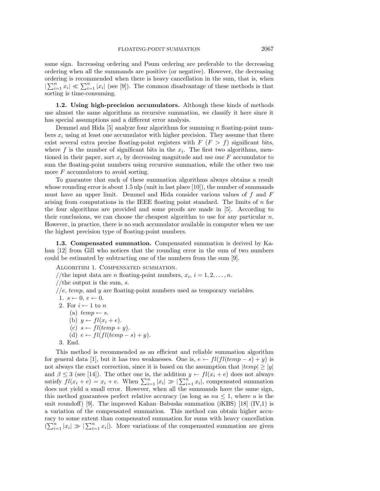same sign. Increasing ordering and Psum ordering are preferable to the decreasing ordering when all the summands are positive (or negative). However, the decreasing ordering is recommended when there is heavy cancellation in the sum, that is, when  $|\sum_{i=1}^n x_i| \ll \sum_{i=1}^n |x_i|$  (see [9]). The common disadvantage of these methods is that sorting is time-consuming.

**1.2. Using high-precision accumulators.** Although these kinds of methods use almost the same algorithms as recursive summation, we classify it here since it has special assumptions and a different error analysis.

Demmel and Hida  $[5]$  analyze four algorithms for summing n floating-point numbers  $x_i$  using at least one accumulator with higher precision. They assume that there exist several extra precise floating-point registers with  $F (F > f)$  significant bits, where  $f$  is the number of significant bits in the  $x_i$ . The first two algorithms, mentioned in their paper, sort  $x_i$  by decreasing magnitude and use one F accumulator to sum the floating-point numbers using recursive summation, while the other two use more F accumulators to avoid sorting.

To guarantee that each of these summation algorithms always obtains a result whose rounding error is about 1.5 ulp (unit in last place [10]), the number of summands must have an upper limit. Demmel and Hida consider various values of  $f$  and  $F$ arising from computations in the IEEE floating point standard. The limits of  $n$  for the four algorithms are provided and some proofs are made in [5]. According to their conclusions, we can choose the cheapest algorithm to use for any particular  $n$ . However, in practice, there is no such accumulator available in computer when we use the highest precision type of floating-point numbers.

**1.3. Compensated summation.** Compensated summation is derived by Kahan [12] from Gill who notices that the rounding error in the sum of two numbers could be estimated by subtracting one of the numbers from the sum [9].

Algorithm 1. Compensated summation.

//the input data are *n* floating-point numbers,  $x_i$ ,  $i = 1, 2, \ldots, n$ . //the output is the sum, s.  $\ell$ ,  $\ell$ ,  $temp$ , and  $y$  are floating-point numbers used as temporary variables. 1.  $s \leftarrow 0, e \leftarrow 0$ . 2. For  $i \leftarrow 1$  to n (a)  $temp \leftarrow s$ . (b)  $y \leftarrow fl(x_i + e)$ . (c)  $s \leftarrow filtemp + y)$ . (d)  $e \leftarrow fil(ltemp - s) + y$ . 3. End.

This method is recommended as an efficient and reliable summation algorithm for general data [1], but it has two weaknesses. One is,  $e \leftarrow fl(ltemp - s) + y$  is not always the exact correction, since it is based on the assumption that  $|temp|>|y|$ and  $\beta \leq 3$  (see [14]). The other one is, the addition  $y \leftarrow fl(x_i + e)$  does not always satisfy  $fl(x_i + e) = x_i + e$ . When  $\sum_{i=1}^n |x_i| \gg |\sum_{i=1}^n x_i|$ , compensated summation does not yield a small error. However, when all the summands have the same sign, this method guarantees perfect relative accuracy (as long as  $nu \leq 1$ , where u is the unit roundoff) [9]. The improved Kahan–Babuska summation (iKBS) [18] (IV,1) is a variation of the compensated summation. This method can obtain higher accuracy to some extent than compensated summation for sums with heavy cancellation  $(\sum_{i=1}^n |x_i| \gg |\sum_{i=1}^n x_i|)$ . More variations of the compensated summation are given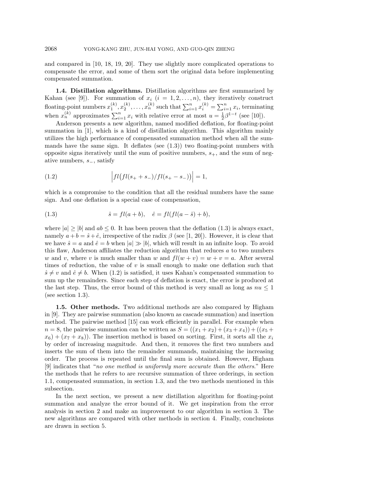and compared in [10, 18, 19, 20]. They use slightly more complicated operations to compensate the error, and some of them sort the original data before implementing compensated summation.

**1.4. Distillation algorithms.** Distillation algorithms are first summarized by Kahan (see [9]). For summation of  $x_i$   $(i = 1, 2, ..., n)$ , they iteratively construct floating-point numbers  $x_1^{(k)}, x_2^{(k)}, \ldots, x_n^{(k)}$  such that  $\sum_{i=1}^n x_i^{(k)} = \sum_{i=1}^n x_i$ , terminating when  $x_n^{(k)}$  approximates  $\sum_{i=1}^n x_i$  with relative error at most  $u = \frac{1}{2}\beta^{1-t}$  (see [10]).

Anderson presents a new algorithm, named modified deflation, for floating-point summation in [1], which is a kind of distillation algorithm. This algorithm mainly utilizes the high performance of compensated summation method when all the summands have the same sign. It deflates (see  $(1.3)$ ) two floating-point numbers with opposite signs iteratively until the sum of positive numbers,  $s_{+}$ , and the sum of negative numbers,  $s_$ , satisfy

(1.2) 
$$
\left|fl\big(fl(s_+ + s_-)/fl(s_+ - s_-)\big)\right| = 1,
$$

which is a compromise to the condition that all the residual numbers have the same sign. And one deflation is a special case of compensation,

(1.3) 
$$
\hat{s} = fl(a+b), \quad \hat{e} = fl(fl(a-\hat{s})+b),
$$

where  $|a|\geq|b|$  and  $ab\leq 0$ . It has been proven that the deflation (1.3) is always exact, namely  $a + b = \hat{s} + \hat{e}$ , irrespective of the radix  $\beta$  (see [1, 20]). However, it is clear that we have  $\hat{s} = a$  and  $\hat{e} = b$  when  $|a| \gg |b|$ , which will result in an infinite loop. To avoid this flaw, Anderson affiliates the reduction algorithm that reduces a to two numbers w and v, where v is much smaller than w and  $fl(w + v) = w + v = a$ . After several times of reduction, the value of  $v$  is small enough to make one deflation such that  $\hat{s} \neq v$  and  $\hat{e} \neq b$ . When (1.2) is satisfied, it uses Kahan's compensated summation to sum up the remainders. Since each step of deflation is exact, the error is produced at the last step. Thus, the error bound of this method is very small as long as  $nu < 1$ (see section 1.3).

**1.5. Other methods.** Two additional methods are also compared by Higham in [9]. They are pairwise summation (also known as cascade summation) and insertion method. The pairwise method [15] can work efficiently in parallel. For example when  $n = 8$ , the pairwise summation can be written as  $S = ((x_1 + x_2) + (x_3 + x_4)) + ((x_5 +$  $x_6 + (x_7 + x_8)$ . The insertion method is based on sorting. First, it sorts all the  $x_i$ by order of increasing magnitude. And then, it removes the first two numbers and inserts the sum of them into the remainder summands, maintaining the increasing order. The process is repeated until the final sum is obtained. However, Higham [9] indicates that "no one method is uniformly more accurate than the others." Here the methods that he refers to are recursive summation of three orderings, in section 1.1, compensated summation, in section 1.3, and the two methods mentioned in this subsection.

In the next section, we present a new distillation algorithm for floating-point summation and analyze the error bound of it. We get inspiration from the error analysis in section 2 and make an improvement to our algorithm in section 3. The new algorithms are compared with other methods in section 4. Finally, conclusions are drawn in section 5.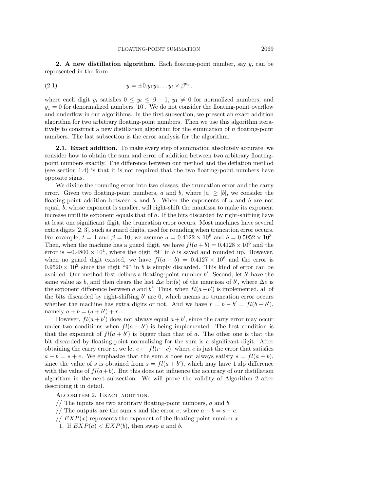**2. A new distillation algorithm.** Each floating-point number, say y, can be represented in the form

(2.1) 
$$
y = \pm 0.y_1y_2 \dots y_t \times \beta^{e_y},
$$

where each digit  $y_i$  satisfies  $0 \le y_i \le \beta - 1$ ,  $y_1 \ne 0$  for normalized numbers, and  $y_1 = 0$  for denormalized numbers [10]. We do not consider the floating-point overflow and underflow in our algorithms. In the first subsection, we present an exact addition algorithm for two arbitrary floating-point numbers. Then we use this algorithm iteratively to construct a new distillation algorithm for the summation of  $n$  floating-point numbers. The last subsection is the error analysis for the algorithm.

**2.1. Exact addition.** To make every step of summation absolutely accurate, we consider how to obtain the sum and error of addition between two arbitrary floatingpoint numbers exactly. The difference between our method and the deflation method (see section 1.4) is that it is not required that the two floating-point numbers have opposite signs.

We divide the rounding error into two classes, the truncation error and the carry error. Given two floating-point numbers, a and b, where  $|a|\geq|b|$ , we consider the floating-point addition between  $a$  and  $b$ . When the exponents of  $a$  and  $b$  are not equal, b, whose exponent is smaller, will right-shift the mantissa to make its exponent increase until its exponent equals that of a. If the bits discarded by right-shifting have at least one significant digit, the truncation error occurs. Most machines have several extra digits [2, 3], such as guard digits, used for rounding when truncation error occurs. For example,  $t = 4$  and  $\beta = 10$ , we assume  $a = 0.4122 \times 10^6$  and  $b = 0.5952 \times 10^3$ . Then, when the machine has a guard digit, we have  $fl(a + b) = 0.4128 \times 10^6$  and the error is  $-0.4800 \times 10^{1}$ , where the digit "9" in b is saved and rounded up. However, when no guard digit existed, we have  $fl(a + b) = 0.4127 \times 10^6$  and the error is  $0.9520 \times 10^2$  since the digit "9" in b is simply discarded. This kind of error can be avoided. Our method first defines a floating-point number  $b'$ . Second, let  $b'$  have the same value as b, and then clears the last  $\Delta e$  bit(s) of the mantissa of b', where  $\Delta e$  is the exponent difference between a and b'. Thus, when  $fl(a+b')$  is implemented, all of the bits discarded by right-shifting  $b'$  are 0, which means no truncation error occurs whether the machine has extra digits or not. And we have  $r = b - b' = fl(b - b')$ , namely  $a + b = (a + b') + r$ .

However,  $fl(a + b')$  does not always equal  $a + b'$ , since the carry error may occur under two conditions when  $fl(a + b')$  is being implemented. The first condition is that the exponent of  $fl(a + b')$  is bigger than that of a. The other one is that the bit discarded by floating-point normalizing for the sum is a significant digit. After obtaining the carry error c, we let  $e \leftarrow fl(r+c)$ , where e is just the error that satisfies  $a + b = s + e$ . We emphasize that the sum s does not always satisfy  $s = fl(a + b)$ , since the value of s is obtained from  $s = fl(a + b')$ , which may have 1 ulp difference with the value of  $fl(a+b)$ . But this does not influence the accuracy of our distillation algorithm in the next subsection. We will prove the validity of Algorithm 2 after describing it in detail.

ALGORITHM 2. EXACT ADDITION.

- // The inputs are two arbitrary floating-point numbers,  $a$  and  $b$ .
- // The outputs are the sum s and the error e, where  $a + b = s + e$ .
- //  $EXP(x)$  represents the exponent of the floating-point number x.
- 1. If  $EXP(a) < EXP(b)$ , then swap a and b.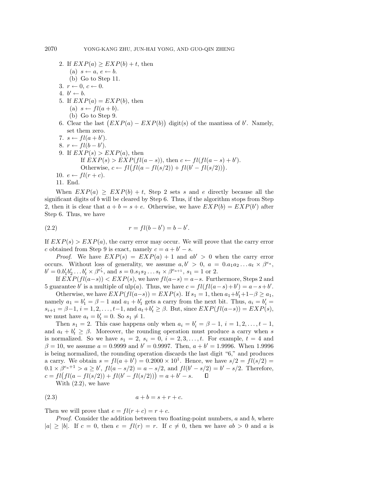2. If  $EXP(a) \geq EXP(b) + t$ , then (a)  $s \leftarrow a, e \leftarrow b$ . (b) Go to Step 11. 3.  $r \leftarrow 0, c \leftarrow 0$ . 4.  $b' \leftarrow b$ . 5. If  $EXP(a) = EXP(b)$ , then (a)  $s \leftarrow fl(a + b)$ . (b) Go to Step 9. 6. Clear the last  $(EXP(a) - EXP(b))$  digit(s) of the mantissa of b'. Namely, set them zero. 7.  $s \leftarrow fl(a+b')$ . 8.  $r \leftarrow fl(b-b').$ 9. If  $EXP(s) > EXP(a)$ , then If  $EXP(s) > EXP(fl(a - s))$ , then  $c \leftarrow fl(fl(a - s) + b')$ . Otherwise,  $c \leftarrow fl(fl(a - fl(s/2)) + fl(b' - fl(s/2))).$ 10.  $e \leftarrow fl(r+c)$ . 11. End.

When  $EXP(a) \geq EXP(b) + t$ , Step 2 sets s and e directly because all the significant digits of  $b$  will be cleared by Step 6. Thus, if the algorithm stops from Step 2, then it is clear that  $a + b = s + e$ . Otherwise, we have  $EXP(b) = EXP(b')$  after Step 6. Thus, we have

(2.2) 
$$
r = fl(b - b') = b - b'.
$$

If  $EXP(s) > EXP(a)$ , the carry error may occur. We will prove that the carry error c obtained from Step 9 is exact, namely  $c = a + b' - s$ .

*Proof.* We have  $EXP(s) = EXP(a) + 1$  and  $ab' > 0$  when the carry error occurs. Without loss of generality, we assume  $a, b' > 0$ ,  $a = 0.a_1a_2...a_t \times \beta^{e_a}$ ,  $b' = 0.b'_1b'_2...b'_t \times \beta^{e'_b}$ , and  $s = 0.s_1s_2...s_t \times \beta^{e_{a+1}}, s_1 = 1$  or 2.

If  $EXP(fl(a-s)) < EXP(s)$ , we have  $fl(a-s) = a-s$ . Furthermore, Steps 2 and 5 guarantee b' is a multiple of ulp(a). Thus, we have  $c = fl(fl(a-s)+b') = a-s+b'$ .

Otherwise, we have  $EXP(fl(a-s)) = EXP(s)$ . If  $s_1 = 1$ , then  $a_1+b'_1+1-\beta \ge a_1$ , namely  $a_1 = b'_1 = \beta - 1$  and  $a_1 + b'_1$  gets a carry from the next bit. Thus,  $a_i = b'_i =$  $s_{i+1} = \beta - 1, i = 1, 2, \dots, t-1$ , and  $a_t + b'_t \geq \beta$ . But, since  $EXP(fl(a-s)) = EXP(s)$ , we must have  $a_t = b'_t = 0$ . So  $s_1 \neq 1$ .

Then  $s_1 = 2$ . This case happens only when  $a_i = b'_i = \beta - 1, i = 1, 2, ..., t - 1$ , and  $a_t + b'_t \geq \beta$ . Moreover, the rounding operation must produce a carry when s is normalized. So we have  $s_1 = 2$ ,  $s_i = 0$ ,  $i = 2, 3, \ldots, t$ . For example,  $t = 4$  and  $\beta = 10$ , we assume  $a = 0.9999$  and  $b' = 0.9997$ . Then,  $a + b' = 1.9996$ . When 1.9996 is being normalized, the rounding operation discards the last digit "6," and produces a carry. We obtain  $s = fl(a + b') = 0.2000 \times 10^1$ . Hence, we have  $s/2 = fl(s/2) =$  $0.1 \times \beta^{e_a+1} > a \ge b', \, fl(a-s/2) = a - s/2, \text{ and } fil(b'-s/2) = b'-s/2.$  Therefore,  $c = fl(fl(a - fl(s/2)) + fl(b' - fl(s/2))) = a + b' - s.$  $\Box$ 

With (2.2), we have

$$
(2.3) \t\t a+b=s+r+c.
$$

Then we will prove that  $e = fl(r + c) = r + c$ .

*Proof.* Consider the addition between two floating-point numbers,  $a$  and  $b$ , where  $|a|\geq |b|$ . If  $c=0$ , then  $e=fl(r)=r$ . If  $c\neq 0$ , then we have  $ab>0$  and a is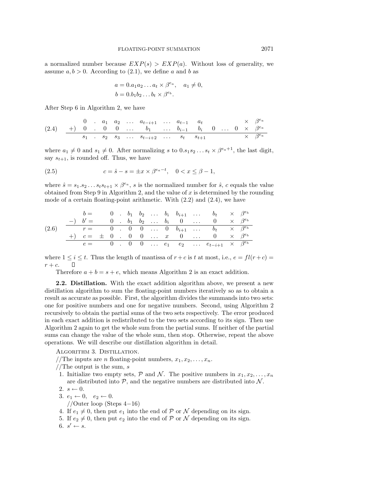a normalized number because  $EXP(s) > EXP(a)$ . Without loss of generality, we assume  $a, b > 0$ . According to (2.1), we define a and b as

$$
a = 0.a_1a_2 \dots a_t \times \beta^{e_a}, \quad a_1 \neq 0,
$$
  

$$
b = 0.b_1b_2 \dots b_t \times \beta^{e_b}.
$$

After Step 6 in Algorithm 2, we have

$$
(2.4) \quad \begin{array}{ccccccccc}\n & 0 & . & a_1 & a_2 & . . . . & a_{t-i+1} & . . . & a_{t-1} & a_t & \times & \beta^{e_a} \\
\hline\n & +) & 0 & . & 0 & 0 & . . . & b_1 & . . . & b_{i-1} & b_i & 0 & . . . & 0 & \times & \beta^{e_a} \\
 & & s_1 & . & s_2 & s_3 & . . . & s_{t-i+2} & . . . & s_t & s_{t+1} & \times & \beta^{e_a}\n\end{array}
$$

where  $a_1 \neq 0$  and  $s_1 \neq 0$ . After normalizing s to  $0.s_1 s_2 \ldots s_t \times \beta^{e_a+1}$ , the last digit, say  $s_{t+1}$ , is rounded off. Thus, we have

(2.5) 
$$
c = \hat{s} - s = \pm x \times \beta^{e_a - t}, \quad 0 < x \le \beta - 1,
$$

where  $\hat{s} = s_1.s_2 \ldots s_t s_{t+1} \times \beta^{e_a}$ , s is the normalized number for  $\hat{s}$ , c equals the value obtained from Step 9 in Algorithm 2, and the value of x is determined by the rounding mode of a certain floating-point arithmetic. With  $(2.2)$  and  $(2.4)$ , we have

$$
(2.6) \quad\n\begin{array}{c|ccccccccccccccccccc}\n & b = & 0 & b_1 & b_2 & \dots & b_i & b_{i+1} & \dots & b_t & \times & \beta^{e_b} \\
\hline\n-\n\end{array}\n\quad\n\begin{array}{c|ccccccccc}\n & b = & 0 & b_1 & b_2 & \dots & b_i & b_{i+1} & \dots & b_t & \times & \beta^{e_b} \\
\hline\nr = & 0 & 0 & 0 & \dots & 0 & b_{i+1} & \dots & b_t & \times & \beta^{e_b} \\
\hline\n+ & c = & \pm & 0 & 0 & 0 & \dots & x & 0 & \dots & 0 & \times & \beta^{e_b} \\
\hline\ne = & 0 & 0 & 0 & \dots & e_1 & e_2 & \dots & e_{t-i+1} & \times & \beta^{e_b}\n\end{array}
$$

where  $1 \leq i \leq t$ . Thus the length of mantissa of  $r + c$  is t at most, i.e.,  $e = fl(r + c)$  $r + c$ .  $\Box$ 

Therefore  $a + b = s + e$ , which means Algorithm 2 is an exact addition.

**2.2. Distillation.** With the exact addition algorithm above, we present a new distillation algorithm to sum the floating-point numbers iteratively so as to obtain a result as accurate as possible. First, the algorithm divides the summands into two sets: one for positive numbers and one for negative numbers. Second, using Algorithm 2 recursively to obtain the partial sums of the two sets respectively. The error produced in each exact addition is redistributed to the two sets according to its sign. Then use Algorithm 2 again to get the whole sum from the partial sums. If neither of the partial sums can change the value of the whole sum, then stop. Otherwise, repeat the above operations. We will describe our distillation algorithm in detail.

ALGORITHM 3. DISTILLATION.

//The inputs are *n* floating-point numbers,  $x_1, x_2, \ldots, x_n$ .

1. Initialize two empty sets,  $P$  and  $N$ . The positive numbers in  $x_1, x_2, \ldots, x_n$ are distributed into  $P$ , and the negative numbers are distributed into  $N$ .

$$
2. s \leftarrow 0.
$$

$$
3. e_1 \leftarrow 0, e_2 \leftarrow 0.
$$

- //Outer loop (Steps 4−16)
- 4. If  $e_1 \neq 0$ , then put  $e_1$  into the end of  $P$  or  $N$  depending on its sign.
- 5. If  $e_2 \neq 0$ , then put  $e_2$  into the end of  $P$  or  $\mathcal N$  depending on its sign.
- 6.  $s' \leftarrow s$ .

<sup>//</sup>The output is the sum,  $s$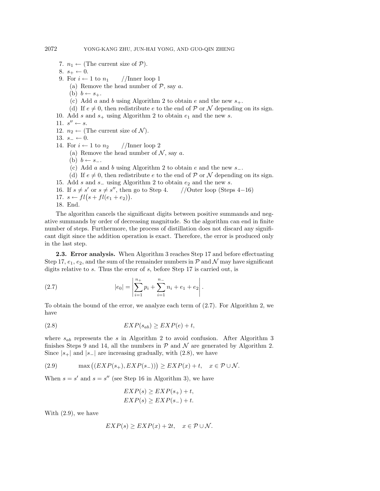- 7.  $n_1 \leftarrow$  (The current size of  $P$ ).
- 8.  $s_+ \leftarrow 0$ .
- 9. For  $i \leftarrow 1$  to  $n_1$  //Inner loop 1
	- (a) Remove the head number of  $P$ , say a.
	- (b)  $b \leftarrow s_+$ .
	- (c) Add a and b using Algorithm 2 to obtain e and the new  $s_{+}$ .
	- (d) If  $e \neq 0$ , then redistribute e to the end of P or N depending on its sign.
- 10. Add s and  $s_+$  using Algorithm 2 to obtain  $e_1$  and the new s.
- 11.  $s'' \leftarrow s$ .
- 12.  $n_2 \leftarrow$  (The current size of  $\mathcal{N}$ ).
- 13.  $s_$  ← 0.
- 14. For  $i \leftarrow 1$  to  $n_2$  //Inner loop 2
	- (a) Remove the head number of  $N$ , say a.
	- (b)  $b \leftarrow s_-.$
	- (c) Add a and b using Algorithm 2 to obtain e and the new  $s_$ .
	- (d) If  $e \neq 0$ , then redistribute e to the end of P or N depending on its sign.
- 15. Add *s* and *s*<sub>−</sub> using Algorithm 2 to obtain  $e_2$  and the new *s*.<br>16. If  $s \neq s'$  or  $s \neq s''$ , then go to Step 4. //Outer loop (Steps 4–16)
- 16. If  $s \neq s'$  or  $s \neq s''$ , then go to Step 4.
- 17.  $s \leftarrow fl(s + fl(e_1 + e_2)).$
- 18. End.

The algorithm cancels the significant digits between positive summands and negative summands by order of decreasing magnitude. So the algorithm can end in finite number of steps. Furthermore, the process of distillation does not discard any significant digit since the addition operation is exact. Therefore, the error is produced only in the last step.

**2.3. Error analysis.** When Algorithm 3 reaches Step 17 and before effectuating Step 17,  $e_1, e_2$ , and the sum of the remainder numbers in  $P$  and  $N$  may have significant digits relative to s. Thus the error of s, before Step 17 is carried out, is

(2.7) 
$$
|e_0| = \left| \sum_{i=1}^{n_+} p_i + \sum_{i=1}^{n_-} n_i + e_1 + e_2 \right|.
$$

To obtain the bound of the error, we analyze each term of (2.7). For Algorithm 2, we have

$$
(2.8) \t\t\t EXP(s_{ab}) \ge EXP(e) + t,
$$

where  $s_{ab}$  represents the s in Algorithm 2 to avoid confusion. After Algorithm 3 finishes Steps 9 and 14, all the numbers in  $P$  and  $\mathcal N$  are generated by Algorithm 2. Since  $|s_+|$  and  $|s_-|$  are increasing gradually, with (2.8), we have

(2.9) 
$$
\max ((EXP(s_{+}), EXP(s_{-}))) \geq EXP(x) + t, \quad x \in \mathcal{P} \cup \mathcal{N}.
$$

When  $s = s'$  and  $s = s''$  (see Step 16 in Algorithm 3), we have

$$
EXP(s) \geq EXP(s_{+}) + t,
$$
  
\n
$$
EXP(s) \geq EXP(s_{-}) + t.
$$

With (2.9), we have

$$
EXP(s) \geq EXP(x) + 2t, \quad x \in \mathcal{P} \cup \mathcal{N}.
$$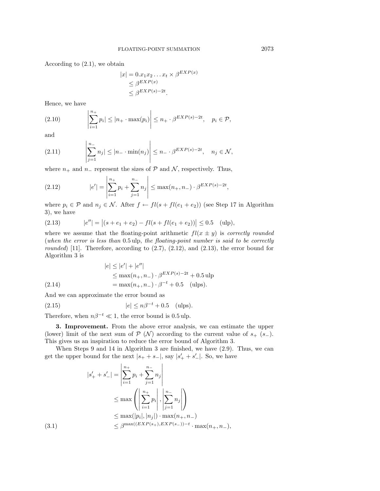According to (2.1), we obtain

 $\mathbf{I}$ 

$$
|x| = 0.x_1x_2...x_t \times \beta^{EXP(x)}
$$
  
\n
$$
\leq \beta^{EXP(x)}
$$
  
\n
$$
\leq \beta^{EXP(s)-2t}.
$$

Hence, we have

(2.10) 
$$
\left|\sum_{i=1}^{n_+} p_i\right| \leq |n_+ \cdot \max(p_i)| \leq n_+ \cdot \beta^{EXP(s)-2t}, \quad p_i \in \mathcal{P},
$$

and

(2.11) 
$$
\left|\sum_{j=1}^{n_{-}} n_{j}| \leq |n_{-} \cdot \min(n_{j})| \leq n_{-} \cdot \beta^{EXP(s)-2t}, \quad n_{j} \in \mathcal{N},
$$

where  $n_+$  and  $n_-$  represent the sizes of  $P$  and  $N$ , respectively. Thus,

(2.12) 
$$
|e'| = \left| \sum_{i=1}^{n_+} p_i + \sum_{j=1}^{n_-} n_j \right| \le \max(n_+, n_-) \cdot \beta^{EXP(s)-2t},
$$

where  $p_i \in \mathcal{P}$  and  $n_j \in \mathcal{N}$ . After  $f \leftarrow fl(s + fl(e_1 + e_2))$  (see Step 17 in Algorithm 3), we have

(2.13) 
$$
|e''| = |(s + e_1 + e_2) - fl(s + fl(e_1 + e_2))| \le 0.5 \quad \text{(ulp)},
$$

where we assume that the floating-point arithmetic  $fl(x \pm y)$  is correctly rounded (when the error is less than 0.5 ulp, the floating-point number is said to be correctly *rounded*) [11]. Therefore, according to  $(2.7)$ ,  $(2.12)$ , and  $(2.13)$ , the error bound for Algorithm 3 is

(2.14) 
$$
|e| \le |e'| + |e''|
$$

$$
\le \max(n_+, n_-) \cdot \beta^{EXP(s)-2t} + 0.5 \text{ ulp}
$$

$$
= \max(n_+, n_-) \cdot \beta^{-t} + 0.5 \text{ (ulps)}.
$$

And we can approximate the error bound as

$$
(2.15) \t\t |e| \le n\beta^{-t} + 0.5 \t (ulps).
$$

Therefore, when  $n\beta^{-t} \ll 1$ , the error bound is 0.5 ulp.

**3. Improvement.** From the above error analysis, we can estimate the upper (lower) limit of the next sum of  $P(N)$  according to the current value of  $s_{+}$  (s−). This gives us an inspiration to reduce the error bound of Algorithm 3.

When Steps 9 and 14 in Algorithm 3 are finished, we have (2.9). Thus, we can get the upper bound for the next  $|s_+ + s_-|$ , say  $|s'_+ + s'_-|$ . So, we have

$$
|s'_{+} + s'_{-}| = \left| \sum_{i=1}^{n_{+}} p_{i} + \sum_{j=1}^{n_{-}} n_{j} \right|
$$
  

$$
\leq \max \left( \left| \sum_{i=1}^{n_{+}} p_{i} \right|, \left| \sum_{j=1}^{n_{-}} n_{j} \right| \right)
$$
  

$$
\leq \max(|p_{i}|, |n_{j}|) \cdot \max(n_{+}, n_{-})
$$
  
(3.1)  

$$
\leq \beta^{\max((EXP(s_{+}), EXP(s_{-})) - t} \cdot \max(n_{+}, n_{-}),
$$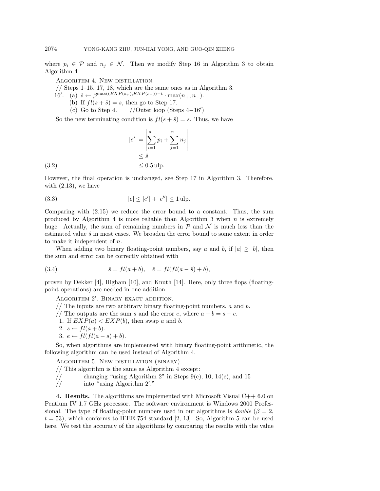where  $p_i \in \mathcal{P}$  and  $n_j \in \mathcal{N}$ . Then we modify Step 16 in Algorithm 3 to obtain Algorithm 4.

ALGORITHM 4. NEW DISTILLATION.

// Steps 1–15, 17, 18, which are the same ones as in Algorithm 3.

- 16'. (a)  $\hat{s} \leftarrow \beta^{\max((EXP(s_{+}),EXP(s_{-}))-t} \cdot \max(n_{+}, n_{-}).$ (b) If  $fl(s + \hat{s}) = s$ , then go to Step 17.
	- (c) Go to Step 4.  $//$ Outer loop (Steps 4-16')

So the new terminating condition is  $fl(s + \hat{s}) = s$ . Thus, we have

$$
|e'| = \left| \sum_{i=1}^{n_+} p_i + \sum_{j=1}^{n_-} n_j \right|
$$
  
\n
$$
\leq \hat{s}
$$
  
\n(3.2)  
\n
$$
\leq 0.5 \text{ ulp.}
$$

However, the final operation is unchanged, see Step 17 in Algorithm 3. Therefore, with  $(2.13)$ , we have

(3.3) 
$$
|e| \le |e'| + |e''| \le 1
$$
ulp.

Comparing with (2.15) we reduce the error bound to a constant. Thus, the sum produced by Algorithm 4 is more reliable than Algorithm 3 when  $n$  is extremely huge. Actually, the sum of remaining numbers in  $\mathcal P$  and  $\mathcal N$  is much less than the estimated value  $\hat{s}$  in most cases. We broaden the error bound to some extent in order to make it independent of n.

When adding two binary floating-point numbers, say a and b, if  $|a|\geq|b|$ , then the sum and error can be correctly obtained with

(3.4) 
$$
\hat{s} = fl(a+b), \quad \hat{e} = fl(fl(a-\hat{s})+b),
$$

proven by Dekker [4], Higham [10], and Knuth [14]. Here, only three flops (floatingpoint operations) are needed in one addition.

ALGORITHM 2'. BINARY EXACT ADDITION.

- $//$  The inputs are two arbitrary binary floating-point numbers,  $a$  and  $b$ .
- // The outputs are the sum s and the error e, where  $a + b = s + e$ .
- 1. If  $EXP(a) < EXP(b)$ , then swap a and b.
- 2.  $s \leftarrow fl(a+b)$ .
- 3.  $e \leftarrow fil(l(a s) + b).$

So, when algorithms are implemented with binary floating-point arithmetic, the following algorithm can be used instead of Algorithm 4.

Algorithm 5. New distillation (binary).

 $//$  This algorithm is the same as Algorithm 4 except:

- // changing "using Algorithm 2" in Steps 9(c), 10, 14(c), and 15
- // into "using Algorithm 2 ."

**4. Results.** The algorithms are implemented with Microsoft Visual C++ 6.0 on Pentium IV 1.7 GHz processor. The software environment is Windows 2000 Professional. The type of floating-point numbers used in our algorithms is *double* ( $\beta = 2$ ,  $t = 53$ , which conforms to IEEE 754 standard [2, 13]. So, Algorithm 5 can be used here. We test the accuracy of the algorithms by comparing the results with the value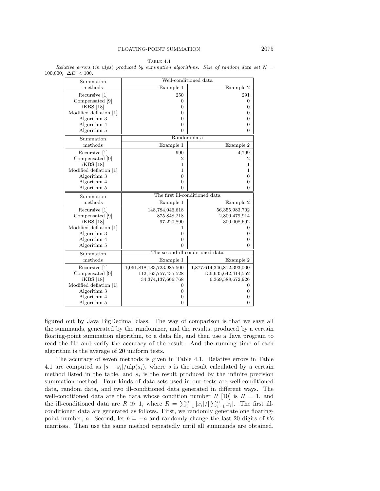| $ 00,  \Delta E  \leq 100.$<br>Summation |                                 | Well-conditioned data     |  |  |  |  |
|------------------------------------------|---------------------------------|---------------------------|--|--|--|--|
| methods                                  | Example 1<br>Example 2          |                           |  |  |  |  |
| Recursive [1]                            | 250                             | 291                       |  |  |  |  |
| Compensated [9]                          | 0                               | $\mathbf{0}$              |  |  |  |  |
| $iKBS$ [18]                              | 0                               | $\boldsymbol{0}$          |  |  |  |  |
| Modified deflation [1]                   | 0                               | $\mathbf{0}$              |  |  |  |  |
| Algorithm 3                              | 0                               | $\mathbf{0}$              |  |  |  |  |
| Algorithm 4                              | $\overline{0}$                  | $\mathbf{0}$              |  |  |  |  |
| Algorithm 5                              | $\Omega$                        | 0                         |  |  |  |  |
| Summation                                | Random data                     |                           |  |  |  |  |
| methods                                  | Example 1                       | Example 2                 |  |  |  |  |
| Recursive [1]                            | 990                             | 4,799                     |  |  |  |  |
| Compensated [9]                          | 2                               | $\overline{2}$            |  |  |  |  |
| iKBS [18]                                | 1                               | 1                         |  |  |  |  |
| Modified deflation [1]                   | 1                               | 1                         |  |  |  |  |
| Algorithm 3                              | 0                               | $\mathbf{0}$              |  |  |  |  |
| Algorithm 4                              | 0                               | $\mathbf{0}$              |  |  |  |  |
| Algorithm 5                              | 0                               | 0                         |  |  |  |  |
| Summation                                | The first ill-conditioned data  |                           |  |  |  |  |
| methods                                  | Example 1                       | Example 2                 |  |  |  |  |
| Recursive [1]                            | 148,784,046,618                 | 56, 355, 983, 702         |  |  |  |  |
| Compensated [9]                          | 875, 848, 218                   | 2,800,479,914             |  |  |  |  |
| $iKBS$ [18]                              | 97,220,890                      | 300,008,692               |  |  |  |  |
| Modified deflation [1]                   | 1                               | $\mathbf{0}$              |  |  |  |  |
| Algorithm 3                              | $\overline{0}$                  | $\mathbf{0}$              |  |  |  |  |
| Algorithm 4                              | $\overline{0}$                  | $\mathbf{0}$              |  |  |  |  |
| Algorithm 5                              | $\Omega$                        | 0                         |  |  |  |  |
| Summation                                | The second ill-conditioned data |                           |  |  |  |  |
| methods                                  | Example 1                       | Example 2                 |  |  |  |  |
| Recursive [1]                            | 1,061,818,183,723,985,500       | 1,877,614,346,812,393,000 |  |  |  |  |
| Compensated [9]                          | 112, 163, 757, 435, 528         | 136,635,642,414,552       |  |  |  |  |
| iKBS [18]                                | 34,374,137,666,768              | 6,369,588,672,926         |  |  |  |  |
| Modified deflation [1]                   | 0                               | 0                         |  |  |  |  |
| Algorithm 3                              | $\mathbf{0}$                    | $\mathbf{0}$              |  |  |  |  |
| Algorithm 4                              | $\mathbf{0}$                    | 0                         |  |  |  |  |
| Algorithm 5                              | $\Omega$                        | $\overline{0}$            |  |  |  |  |

TABLE  $4.1$ Relative errors (in ulps) produced by summation algorithms. Size of random data set  $N =$  $100,000, \, 1\Delta$ 

figured out by Java BigDecimal class. The way of comparison is that we save all the summands, generated by the randomizer, and the results, produced by a certain floating-point summation algorithm, to a data file, and then use a Java program to read the file and verify the accuracy of the result. And the running time of each algorithm is the average of 20 uniform tests.

The accuracy of seven methods is given in Table 4.1. Relative errors in Table 4.1 are computed as  $|s - s_i|/\text{ulp}(s_i)$ , where s is the result calculated by a certain method listed in the table, and  $s_i$  is the result produced by the infinite precision summation method. Four kinds of data sets used in our tests are well-conditioned data, random data, and two ill-conditioned data generated in different ways. The well-conditioned data are the data whose condition number R [10] is  $R = 1$ , and the ill-conditioned data are  $R \gg 1$ , where  $R = \sum_{i=1}^{n} |x_i|/|\sum_{i=1}^{n} x_i|$ . The first illconditioned data are generated as follows. First, we randomly generate one floatingpoint number, a. Second, let  $b = -a$  and randomly change the last 20 digits of b's mantissa. Then use the same method repeatedly until all summands are obtained.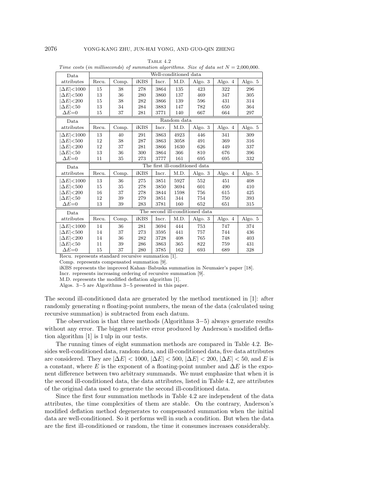| Data                | Well-conditioned data           |       |      |       |      |           |         |         |  |
|---------------------|---------------------------------|-------|------|-------|------|-----------|---------|---------|--|
| attributes          | Recu.                           | Comp. | iKBS | Incr. | M.D. | Algo. $3$ | Algo. 4 | Algo. 5 |  |
| $\Delta E$ < 1000   | 15                              | 38    | 278  | 3864  | 135  | 423       | 322     | 296     |  |
| $\Delta E$ <500     | 13                              | 36    | 280  | 3860  | 137  | 469       | 347     | 305     |  |
| $\Delta E$ <200     | 15                              | 38    | 282  | 3866  | 139  | 596       | 431     | 314     |  |
| $\Delta E$ <50      | 13                              | 34    | 284  | 3883  | 147  | 782       | 650     | 364     |  |
| $\Delta E=0$        | 15                              | 37    | 281  | 3771  | 140  | 667       | 664     | 297     |  |
| Data                | Random data                     |       |      |       |      |           |         |         |  |
| attributes          | Recu.                           | Comp. | iKBS | Incr. | M.D. | Algo. 3   | Algo. 4 | Algo. 5 |  |
| $ \Delta E $ < 1000 | 13                              | 40    | 291  | 3863  | 4923 | 446       | 341     | 309     |  |
| $\Delta E$ <500     | 12                              | 38    | 287  | 3863  | 3058 | 491       | 369     | 316     |  |
| $\Delta E$ <200     | 12                              | 37    | 281  | 3866  | 1630 | 626       | 449     | 337     |  |
| $ \Delta E $ $<$ 50 | 13                              | 36    | 300  | 3864  | 366  | 810       | 676     | 396     |  |
| $\Delta E=0$        | 11                              | 35    | 273  | 3777  | 161  | 695       | 695     | 332     |  |
| Data                | The first ill-conditioned data  |       |      |       |      |           |         |         |  |
| attributes          | Recu.                           | Comp. | iKBS | Incr. | M.D. | Algo. 3   | Algo. 4 | Algo. 5 |  |
| $\Delta E$ < 1000   | 13                              | 36    | 275  | 3851  | 5927 | 552       | 451     | 408     |  |
| $\Delta E$ <500     | 15                              | 35    | 278  | 3850  | 3694 | 601       | 490     | 410     |  |
| $\Delta E$ <200     | 16                              | 37    | 278  | 3844  | 1598 | 756       | 615     | 425     |  |
| $\Delta E$ <50      | 12                              | 39    | 279  | 3851  | 344  | 754       | 750     | 393     |  |
| $\Delta E=0$        | 13                              | 39    | 283  | 3781  | 160  | 652       | 651     | 315     |  |
| Data                | The second ill-conditioned data |       |      |       |      |           |         |         |  |
| attributes          | Recu.                           | Comp. | iKBS | Incr. | M.D. | Algo. 3   | Algo. 4 | Algo. 5 |  |
| $\Delta E$ < 1000   |                                 | 36    | 281  | 3694  | 444  | 753       | 747     | 374     |  |
|                     | 14                              |       |      |       |      |           |         |         |  |
| $\Delta E$ <500     | 14                              | 37    | 273  | 3595  | 441  | 757       | 744     | 436     |  |
| $\Delta E$ <200     | 14                              | 36    | 282  | 3728  | 408  | 765       | 748     | 403     |  |
| $ \Delta E $ $<$ 50 | 11                              | 39    | 286  | 3863  | 365  | 822       | 759     | 431     |  |

Table 4.2 Time costs (in milliseconds) of summation algorithms. Size of data set  $N = 2,000,000$ .

Recu. represents standard recursive summation [1].

Comp. represents compensated summation [9].

iKBS represents the improved Kahan–Babuska summation in Neumaier's paper [18].

Incr. represents increasing ordering of recursive summation [9].

M.D. represents the modified deflation algorithm [1].

Algos. 3−5 are Algorithms 3−5 presented in this paper.

The second ill-conditioned data are generated by the method mentioned in [1]: after randomly generating n floating-point numbers, the mean of the data (calculated using recursive summation) is subtracted from each datum.

The observation is that three methods (Algorithms 3−5) always generate results without any error. The biggest relative error produced by Anderson's modified deflation algorithm [1] is 1 ulp in our tests.

The running times of eight summation methods are compared in Table 4.2. Besides well-conditioned data, random data, and ill-conditioned data, five data attributes are considered. They are  $|\Delta E| < 1000$ ,  $|\Delta E| < 500$ ,  $|\Delta E| < 200$ ,  $|\Delta E| < 50$ , and E is a constant, where E is the exponent of a floating-point number and  $\Delta E$  is the exponent difference between two arbitrary summands. We must emphasize that when it is the second ill-conditioned data, the data attributes, listed in Table 4.2, are attributes of the original data used to generate the second ill-conditioned data.

Since the first four summation methods in Table 4.2 are independent of the data attributes, the time complexities of them are stable. On the contrary, Anderson's modified deflation method degenerates to compensated summation when the initial data are well-conditioned. So it performs well in such a condition. But when the data are the first ill-conditioned or random, the time it consumes increases considerably.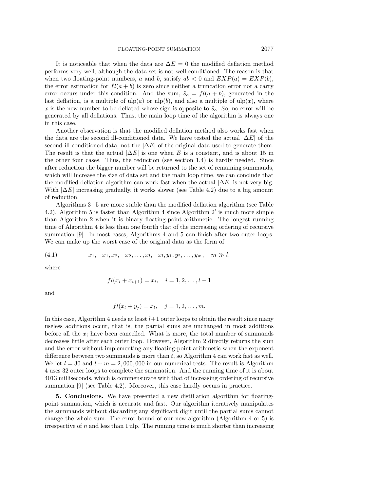It is noticeable that when the data are  $\Delta E = 0$  the modified deflation method performs very well, although the data set is not well-conditioned. The reason is that when two floating-point numbers, a and b, satisfy  $ab < 0$  and  $EXP(a) = EXP(b)$ , the error estimation for  $fl(a + b)$  is zero since neither a truncation error nor a carry error occurs under this condition. And the sum,  $\hat{s}_o = fl(a + b)$ , generated in the last deflation, is a multiple of  $\text{ulp}(a)$  or  $\text{ulp}(b)$ , and also a multiple of  $\text{ulp}(x)$ , where x is the new number to be deflated whose sign is opposite to  $\hat{s}_o$ . So, no error will be generated by all deflations. Thus, the main loop time of the algorithm is always one in this case.

Another observation is that the modified deflation method also works fast when the data are the second ill-conditioned data. We have tested the actual  $|\Delta E|$  of the second ill-conditioned data, not the  $|\Delta E|$  of the original data used to generate them. The result is that the actual  $|\Delta E|$  is one when E is a constant, and is about 15 in the other four cases. Thus, the reduction (see section 1.4) is hardly needed. Since after reduction the bigger number will be returned to the set of remaining summands, which will increase the size of data set and the main loop time, we can conclude that the modified deflation algorithm can work fast when the actual  $|\Delta E|$  is not very big. With  $|\Delta E|$  increasing gradually, it works slower (see Table 4.2) due to a big amount of reduction.

Algorithms 3−5 are more stable than the modified deflation algorithm (see Table 4.2). Algorithm 5 is faster than Algorithm 4 since Algorithm 2' is much more simple than Algorithm 2 when it is binary floating-point arithmetic. The longest running time of Algorithm 4 is less than one fourth that of the increasing ordering of recursive summation [9]. In most cases, Algorithms 4 and 5 can finish after two outer loops. We can make up the worst case of the original data as the form of

$$
(4.1) \t x_1, -x_1, x_2, -x_2, \ldots, x_l, -x_l, y_1, y_2, \ldots, y_m, \quad m \gg l,
$$

where

$$
fl(x_i + x_{i+1}) = x_i, \quad i = 1, 2, \dots, l-1
$$

and

$$
fl(x_l + y_j) = x_l, \quad j = 1, 2, \dots, m.
$$

In this case, Algorithm 4 needs at least  $l+1$  outer loops to obtain the result since many useless additions occur, that is, the partial sums are unchanged in most additions before all the  $x_i$  have been cancelled. What is more, the total number of summands decreases little after each outer loop. However, Algorithm 2 directly returns the sum and the error without implementing any floating-point arithmetic when the exponent difference between two summands is more than  $t$ , so Algorithm 4 can work fast as well. We let  $l = 30$  and  $l + m = 2,000,000$  in our numerical tests. The result is Algorithm 4 uses 32 outer loops to complete the summation. And the running time of it is about 4013 milliseconds, which is commensurate with that of increasing ordering of recursive summation [9] (see Table 4.2). Moreover, this case hardly occurs in practice.

**5. Conclusions.** We have presented a new distillation algorithm for floatingpoint summation, which is accurate and fast. Our algorithm iteratively manipulates the summands without discarding any significant digit until the partial sums cannot change the whole sum. The error bound of our new algorithm (Algorithm 4 or 5) is irrespective of  $n$  and less than 1 ulp. The running time is much shorter than increasing